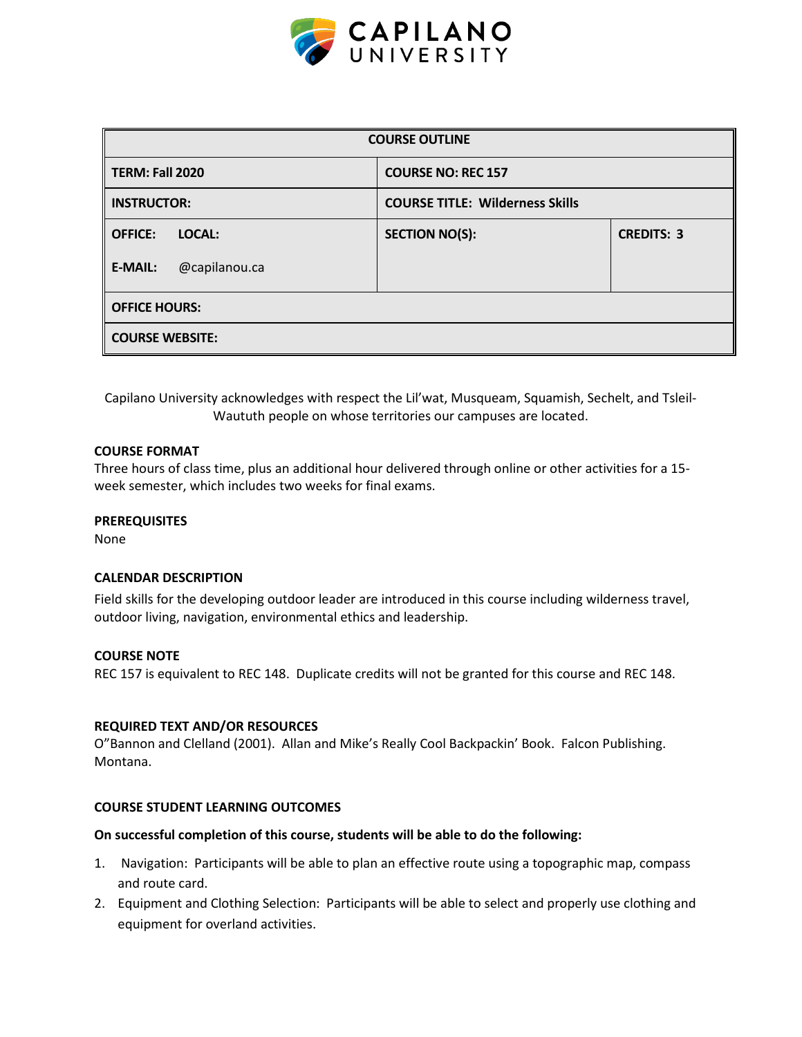

| <b>COURSE OUTLINE</b>           |                                        |                   |  |  |  |  |
|---------------------------------|----------------------------------------|-------------------|--|--|--|--|
| <b>TERM: Fall 2020</b>          | <b>COURSE NO: REC 157</b>              |                   |  |  |  |  |
| <b>INSTRUCTOR:</b>              | <b>COURSE TITLE: Wilderness Skills</b> |                   |  |  |  |  |
| <b>OFFICE:</b><br>LOCAL:        | <b>SECTION NO(S):</b>                  | <b>CREDITS: 3</b> |  |  |  |  |
| @capilanou.ca<br><b>E-MAIL:</b> |                                        |                   |  |  |  |  |
| <b>OFFICE HOURS:</b>            |                                        |                   |  |  |  |  |
| <b>COURSE WEBSITE:</b>          |                                        |                   |  |  |  |  |

Capilano University acknowledges with respect the Lil'wat, Musqueam, Squamish, Sechelt, and Tsleil-Waututh people on whose territories our campuses are located.

### **COURSE FORMAT**

Three hours of class time, plus an additional hour delivered through online or other activities for a 15 week semester, which includes two weeks for final exams.

### **PREREQUISITES**

None

### **CALENDAR DESCRIPTION**

Field skills for the developing outdoor leader are introduced in this course including wilderness travel, outdoor living, navigation, environmental ethics and leadership.

### **COURSE NOTE**

REC 157 is equivalent to REC 148. Duplicate credits will not be granted for this course and REC 148.

#### **REQUIRED TEXT AND/OR RESOURCES**

O"Bannon and Clelland (2001). Allan and Mike's Really Cool Backpackin' Book. Falcon Publishing. Montana.

# **COURSE STUDENT LEARNING OUTCOMES**

#### **On successful completion of this course, students will be able to do the following:**

- 1. Navigation: Participants will be able to plan an effective route using a topographic map, compass and route card.
- 2. Equipment and Clothing Selection: Participants will be able to select and properly use clothing and equipment for overland activities.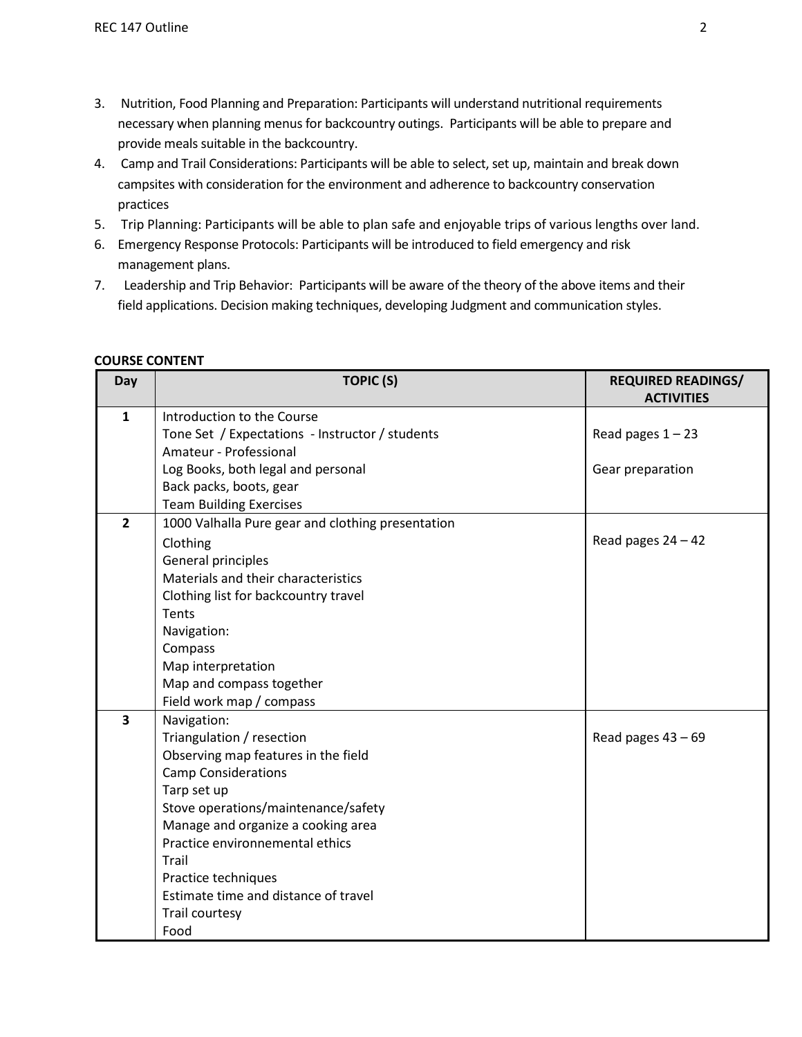- 3. Nutrition, Food Planning and Preparation: Participants will understand nutritional requirements necessary when planning menus for backcountry outings. Participants will be able to prepare and provide meals suitable in the backcountry.
- 4. Camp and Trail Considerations: Participants will be able to select, set up, maintain and break down campsites with consideration for the environment and adherence to backcountry conservation practices
- 5. Trip Planning: Participants will be able to plan safe and enjoyable trips of various lengths over land.
- 6. Emergency Response Protocols: Participants will be introduced to field emergency and risk management plans.
- 7. Leadership and Trip Behavior: Participants will be aware of the theory of the above items and their field applications. Decision making techniques, developing Judgment and communication styles.

| Day                     | <b>TOPIC (S)</b>                                  | <b>REQUIRED READINGS/</b> |
|-------------------------|---------------------------------------------------|---------------------------|
|                         |                                                   | <b>ACTIVITIES</b>         |
| 1                       | Introduction to the Course                        |                           |
|                         | Tone Set / Expectations - Instructor / students   | Read pages $1 - 23$       |
|                         | Amateur - Professional                            |                           |
|                         | Log Books, both legal and personal                | Gear preparation          |
|                         | Back packs, boots, gear                           |                           |
|                         | <b>Team Building Exercises</b>                    |                           |
| $\overline{2}$          | 1000 Valhalla Pure gear and clothing presentation |                           |
|                         | Clothing                                          | Read pages $24 - 42$      |
|                         | General principles                                |                           |
|                         | Materials and their characteristics               |                           |
|                         | Clothing list for backcountry travel              |                           |
|                         | Tents                                             |                           |
|                         | Navigation:                                       |                           |
|                         | Compass                                           |                           |
|                         | Map interpretation                                |                           |
|                         | Map and compass together                          |                           |
|                         | Field work map / compass                          |                           |
| $\overline{\mathbf{3}}$ | Navigation:                                       |                           |
|                         | Triangulation / resection                         | Read pages $43 - 69$      |
|                         | Observing map features in the field               |                           |
|                         | <b>Camp Considerations</b>                        |                           |
|                         | Tarp set up                                       |                           |
|                         | Stove operations/maintenance/safety               |                           |
|                         | Manage and organize a cooking area                |                           |
|                         | Practice environnemental ethics                   |                           |
|                         | Trail                                             |                           |
|                         | Practice techniques                               |                           |
|                         | Estimate time and distance of travel              |                           |
|                         | Trail courtesy                                    |                           |
|                         | Food                                              |                           |

# **COURSE CONTENT**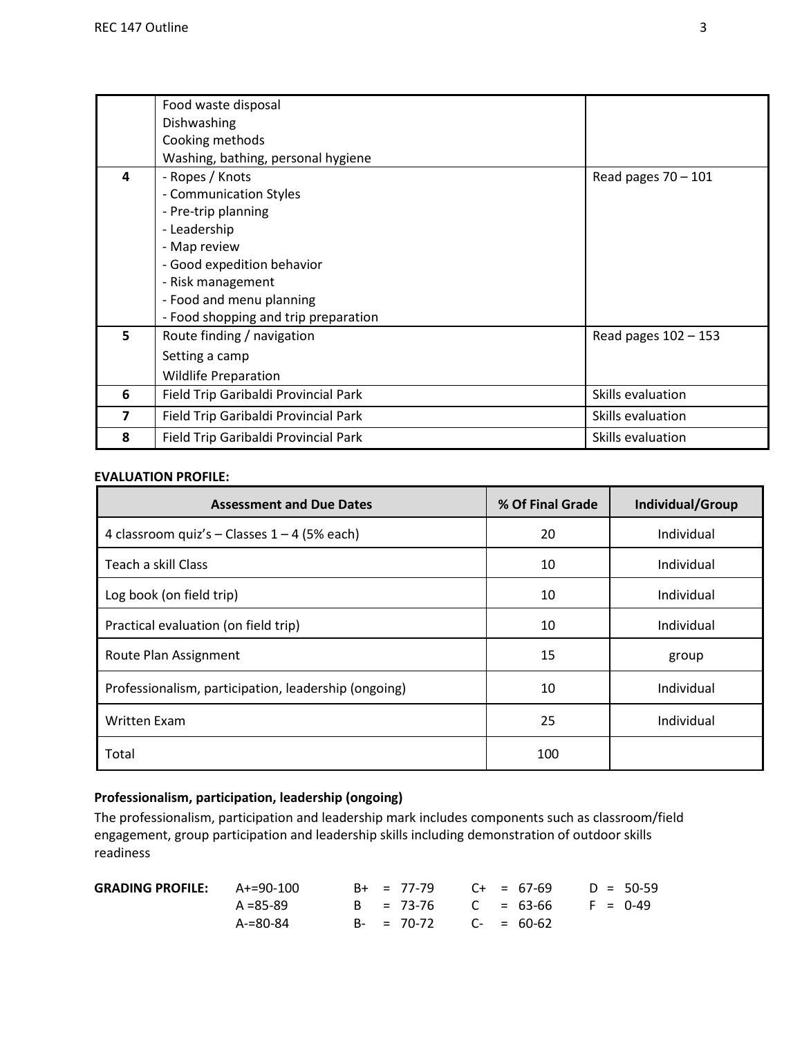|   | Food waste disposal                  |                        |
|---|--------------------------------------|------------------------|
|   | Dishwashing                          |                        |
|   | Cooking methods                      |                        |
|   | Washing, bathing, personal hygiene   |                        |
| 4 | - Ropes / Knots                      | Read pages $70 - 101$  |
|   | - Communication Styles               |                        |
|   | - Pre-trip planning                  |                        |
|   | - Leadership                         |                        |
|   | - Map review                         |                        |
|   | - Good expedition behavior           |                        |
|   | - Risk management                    |                        |
|   | - Food and menu planning             |                        |
|   | - Food shopping and trip preparation |                        |
| 5 | Route finding / navigation           | Read pages $102 - 153$ |
|   | Setting a camp                       |                        |
|   | <b>Wildlife Preparation</b>          |                        |
| 6 | Field Trip Garibaldi Provincial Park | Skills evaluation      |
| 7 | Field Trip Garibaldi Provincial Park | Skills evaluation      |
| 8 | Field Trip Garibaldi Provincial Park | Skills evaluation      |

# **EVALUATION PROFILE:**

| <b>Assessment and Due Dates</b>                      | % Of Final Grade | Individual/Group |  |  |  |
|------------------------------------------------------|------------------|------------------|--|--|--|
| 4 classroom quiz's - Classes $1 - 4$ (5% each)       | 20               | Individual       |  |  |  |
| Teach a skill Class                                  | 10               | Individual       |  |  |  |
| Log book (on field trip)                             | 10               | Individual       |  |  |  |
| Practical evaluation (on field trip)                 | 10               | Individual       |  |  |  |
| Route Plan Assignment                                | 15               | group            |  |  |  |
| Professionalism, participation, leadership (ongoing) | 10               | Individual       |  |  |  |
| <b>Written Exam</b>                                  | 25               | Individual       |  |  |  |
| Total                                                | 100              |                  |  |  |  |

# **Professionalism, participation, leadership (ongoing)**

The professionalism, participation and leadership mark includes components such as classroom/field engagement, group participation and leadership skills including demonstration of outdoor skills readiness

| <b>GRADING PROFILE:</b> $A+=90-100$ |               |  | $B+$ = 77-79 C+ = 67-69 D = 50-59  |  |  |  |
|-------------------------------------|---------------|--|------------------------------------|--|--|--|
|                                     | $A = 85 - 89$ |  | $B = 73-76$ $C = 63-66$ $F = 0-49$ |  |  |  |
|                                     | A-=80-84      |  | $B - = 70-72$ $C - = 60-62$        |  |  |  |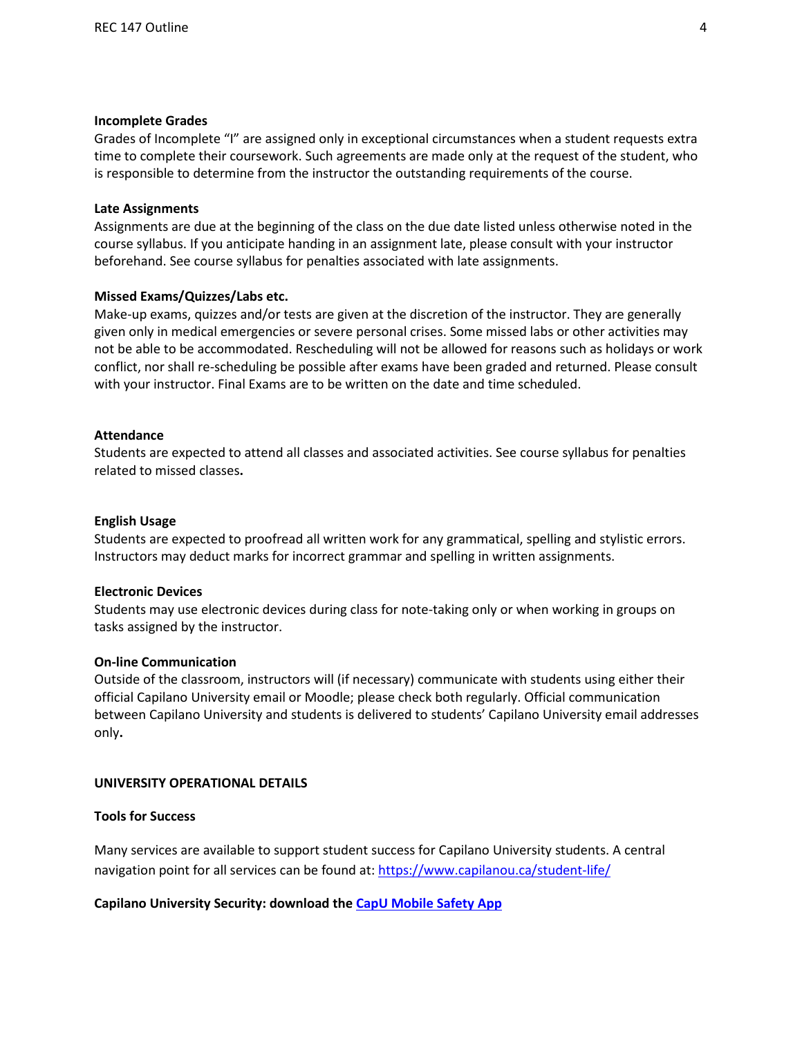#### **Incomplete Grades**

Grades of Incomplete "I" are assigned only in exceptional circumstances when a student requests extra time to complete their coursework. Such agreements are made only at the request of the student, who is responsible to determine from the instructor the outstanding requirements of the course.

## **Late Assignments**

Assignments are due at the beginning of the class on the due date listed unless otherwise noted in the course syllabus. If you anticipate handing in an assignment late, please consult with your instructor beforehand. See course syllabus for penalties associated with late assignments.

### **Missed Exams/Quizzes/Labs etc.**

Make-up exams, quizzes and/or tests are given at the discretion of the instructor. They are generally given only in medical emergencies or severe personal crises. Some missed labs or other activities may not be able to be accommodated. Rescheduling will not be allowed for reasons such as holidays or work conflict, nor shall re-scheduling be possible after exams have been graded and returned. Please consult with your instructor. Final Exams are to be written on the date and time scheduled.

#### **Attendance**

Students are expected to attend all classes and associated activities. See course syllabus for penalties related to missed classes**.**

#### **English Usage**

Students are expected to proofread all written work for any grammatical, spelling and stylistic errors. Instructors may deduct marks for incorrect grammar and spelling in written assignments.

#### **Electronic Devices**

Students may use electronic devices during class for note-taking only or when working in groups on tasks assigned by the instructor.

#### **On-line Communication**

Outside of the classroom, instructors will (if necessary) communicate with students using either their official Capilano University email or Moodle; please check both regularly. Official communication between Capilano University and students is delivered to students' Capilano University email addresses only**.**

#### **UNIVERSITY OPERATIONAL DETAILS**

#### **Tools for Success**

Many services are available to support student success for Capilano University students. A central navigation point for all services can be found at:<https://www.capilanou.ca/student-life/>

### **Capilano University Security: download the [CapU Mobile Safety App](https://www.capilanou.ca/student-life/support--wellness/safety--security/capu-safe-app/)**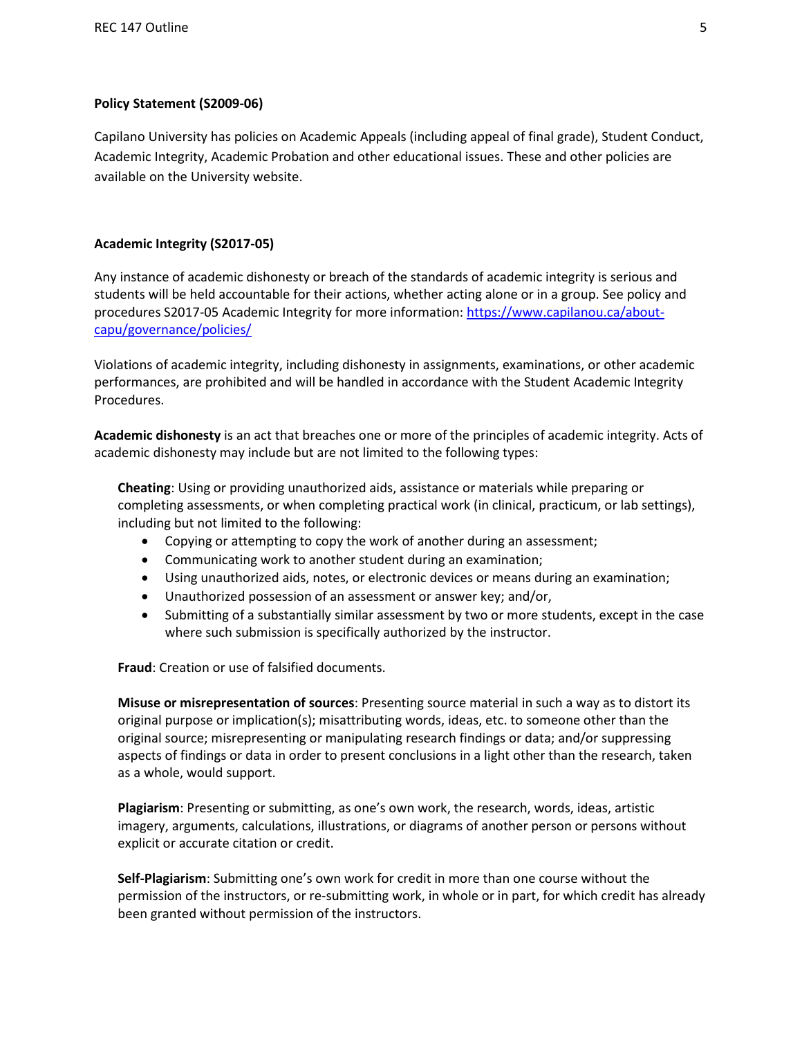# **Policy Statement (S2009-06)**

Capilano University has policies on Academic Appeals (including appeal of final grade), Student Conduct, Academic Integrity, Academic Probation and other educational issues. These and other policies are available on the University website.

# **Academic Integrity (S2017-05)**

Any instance of academic dishonesty or breach of the standards of academic integrity is serious and students will be held accountable for their actions, whether acting alone or in a group. See policy and procedures S2017-05 Academic Integrity for more information: [https://www.capilanou.ca/about](https://www.capilanou.ca/about-capu/governance/policies/)[capu/governance/policies/](https://www.capilanou.ca/about-capu/governance/policies/)

Violations of academic integrity, including dishonesty in assignments, examinations, or other academic performances, are prohibited and will be handled in accordance with the Student Academic Integrity Procedures.

**Academic dishonesty** is an act that breaches one or more of the principles of academic integrity. Acts of academic dishonesty may include but are not limited to the following types:

**Cheating**: Using or providing unauthorized aids, assistance or materials while preparing or completing assessments, or when completing practical work (in clinical, practicum, or lab settings), including but not limited to the following:

- Copying or attempting to copy the work of another during an assessment;
- Communicating work to another student during an examination;
- Using unauthorized aids, notes, or electronic devices or means during an examination;
- Unauthorized possession of an assessment or answer key; and/or,
- Submitting of a substantially similar assessment by two or more students, except in the case where such submission is specifically authorized by the instructor.

**Fraud**: Creation or use of falsified documents.

**Misuse or misrepresentation of sources**: Presenting source material in such a way as to distort its original purpose or implication(s); misattributing words, ideas, etc. to someone other than the original source; misrepresenting or manipulating research findings or data; and/or suppressing aspects of findings or data in order to present conclusions in a light other than the research, taken as a whole, would support.

**Plagiarism**: Presenting or submitting, as one's own work, the research, words, ideas, artistic imagery, arguments, calculations, illustrations, or diagrams of another person or persons without explicit or accurate citation or credit.

**Self-Plagiarism**: Submitting one's own work for credit in more than one course without the permission of the instructors, or re-submitting work, in whole or in part, for which credit has already been granted without permission of the instructors.